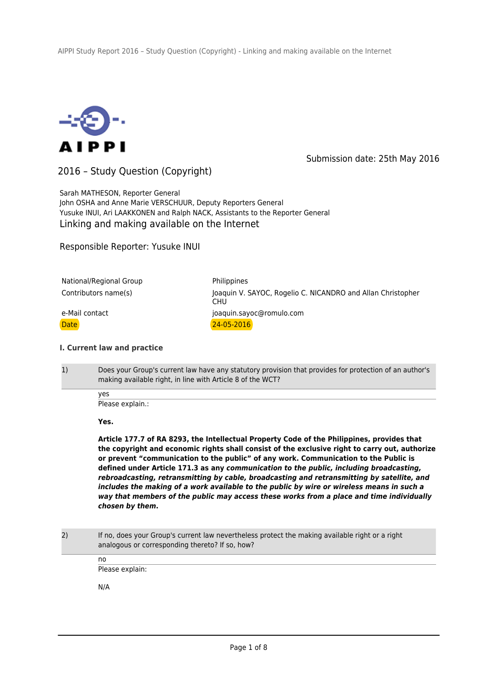

Submission date: 25th May 2016

2016 – Study Question (Copyright)

Sarah MATHESON, Reporter General John OSHA and Anne Marie VERSCHUUR, Deputy Reporters General Yusuke INUI, Ari LAAKKONEN and Ralph NACK, Assistants to the Reporter General Linking and making available on the Internet

Responsible Reporter: Yusuke INUI

| National/Regional Group | Philippines                                                               |
|-------------------------|---------------------------------------------------------------------------|
| Contributors name(s)    | Joaquin V. SAYOC, Rogelio C. NICANDRO and Allan Christopher<br><b>CHU</b> |
| e-Mail contact          | joaquin.sayoc@romulo.com                                                  |
| Date l                  | $24 - 05 - 2016$                                                          |

## **I. Current law and practice**

1) Does your Group's current law have any statutory provision that provides for protection of an author's making available right, in line with Article 8 of the WCT?

yes

Please explain.:

**Yes.**

**Article 177.7 of RA 8293, the Intellectual Property Code of the Philippines, provides that the copyright and economic rights shall consist of the exclusive right to carry out, authorize or prevent "communication to the public" of any work. Communication to the Public is defined under Article 171.3 as any** *communication to the public, including broadcasting, rebroadcasting, retransmitting by cable, broadcasting and retransmitting by satellite, and includes the making of a work available to the public by wire or wireless means in such a way that members of the public may access these works from a place and time individually chosen by them***.**

2) If no, does your Group's current law nevertheless protect the making available right or a right analogous or corresponding thereto? If so, how?

> no Please explain:

N/A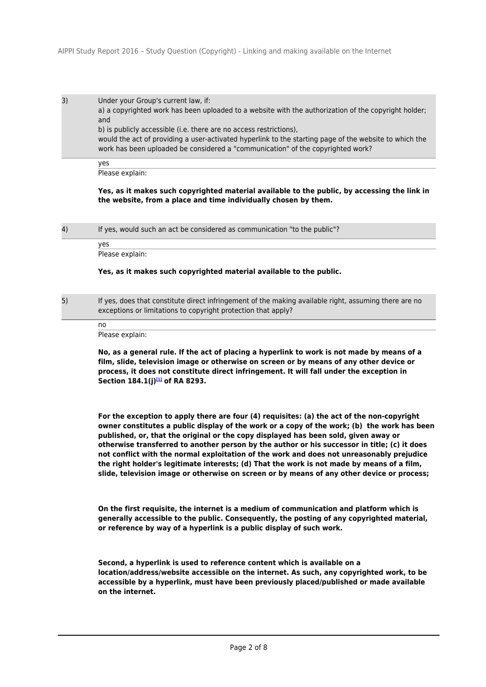3) Under your Group's current law, if: a) a copyrighted work has been uploaded to a website with the authorization of the copyright holder; and b) is publicly accessible (i.e. there are no access restrictions), would the act of providing a user-activated hyperlink to the starting page of the website to which the work has been uploaded be considered a "communication" of the copyrighted work?

yes Please explain:

**Yes, as it makes such copyrighted material available to the public, by accessing the link in the website, from a place and time individually chosen by them.**

4) If yes, would such an act be considered as communication "to the public"?

Please explain:

### **Yes, as it makes such copyrighted material available to the public.**

5) If yes, does that constitute direct infringement of the making available right, assuming there are no exceptions or limitations to copyright protection that apply?

no

yes

Please explain:

**No, as a general rule. If the act of placing a hyperlink to work is not made by means of a film, slide, television image or otherwise on screen or by means of any other device or process, it does not constitute direct infringement. It will fall under the exception in Section 184.1(j)[1] of RA 8293.**

**For the exception to apply there are four (4) requisites: (a) the act of the non-copyright owner constitutes a public display of the work or a copy of the work; (b) the work has been published, or, that the original or the copy displayed has been sold, given away or otherwise transferred to another person by the author or his successor in title; (c) it does not conflict with the normal exploitation of the work and does not unreasonably prejudice the right holder's legitimate interests; (d) That the work is not made by means of a film, slide, television image or otherwise on screen or by means of any other device or process;**

**On the first requisite, the internet is a medium of communication and platform which is generally accessible to the public. Consequently, the posting of any copyrighted material, or reference by way of a hyperlink is a public display of such work.**

**Second, a hyperlink is used to reference content which is available on a location/address/website accessible on the internet. As such, any copyrighted work, to be accessible by a hyperlink, must have been previously placed/published or made available on the internet.**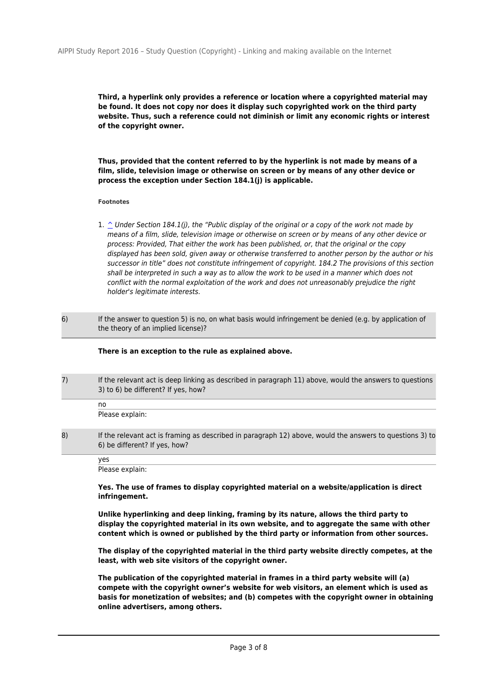**Third, a hyperlink only provides a reference or location where a copyrighted material may be found. It does not copy nor does it display such copyrighted work on the third party website. Thus, such a reference could not diminish or limit any economic rights or interest of the copyright owner.** 

**Thus, provided that the content referred to by the hyperlink is not made by means of a film, slide, television image or otherwise on screen or by means of any other device or process the exception under Section 184.1(j) is applicable.**

### **Footnotes**

- 1.  $\degree$  Under Section 184.1(j), the "Public display of the original or a copy of the work not made by means of a film, slide, television image or otherwise on screen or by means of any other device or process: Provided, That either the work has been published, or, that the original or the copy displayed has been sold, given away or otherwise transferred to another person by the author or his successor in title" does not constitute infringement of copyright. 184.2 The provisions of this section shall be interpreted in such a way as to allow the work to be used in a manner which does not conflict with the normal exploitation of the work and does not unreasonably prejudice the right holder's legitimate interests.
- 6) If the answer to question 5) is no, on what basis would infringement be denied (e.g. by application of the theory of an implied license)?

### **There is an exception to the rule as explained above.**

7) If the relevant act is deep linking as described in paragraph 11) above, would the answers to questions 3) to 6) be different? If yes, how?

no Please explain:

8) If the relevant act is framing as described in paragraph 12) above, would the answers to questions 3) to 6) be different? If yes, how?

yes

Please explain:

**Yes. The use of frames to display copyrighted material on a website/application is direct infringement.**

**Unlike hyperlinking and deep linking, framing by its nature, allows the third party to display the copyrighted material in its own website, and to aggregate the same with other content which is owned or published by the third party or information from other sources.**

**The display of the copyrighted material in the third party website directly competes, at the least, with web site visitors of the copyright owner.**

**The publication of the copyrighted material in frames in a third party website will (a) compete with the copyright owner's website for web visitors, an element which is used as basis for monetization of websites; and (b) competes with the copyright owner in obtaining online advertisers, among others.**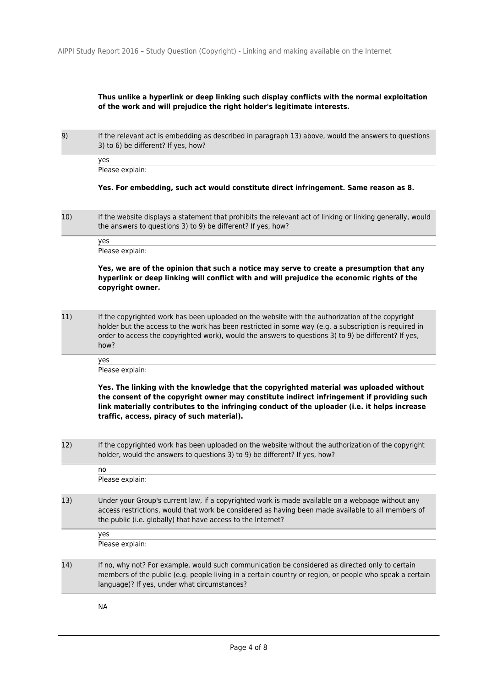# **Thus unlike a hyperlink or deep linking such display conflicts with the normal exploitation of the work and will prejudice the right holder's legitimate interests.**

9) If the relevant act is embedding as described in paragraph 13) above, would the answers to questions 3) to 6) be different? If yes, how?

yes Please explain:

## **Yes. For embedding, such act would constitute direct infringement. Same reason as 8.**

10) If the website displays a statement that prohibits the relevant act of linking or linking generally, would the answers to questions 3) to 9) be different? If yes, how?

yes Please explain:

**Yes, we are of the opinion that such a notice may serve to create a presumption that any hyperlink or deep linking will conflict with and will prejudice the economic rights of the copyright owner.** 

11) If the copyrighted work has been uploaded on the website with the authorization of the copyright holder but the access to the work has been restricted in some way (e.g. a subscription is required in order to access the copyrighted work), would the answers to questions 3) to 9) be different? If yes, how?

yes

Please explain:

**Yes. The linking with the knowledge that the copyrighted material was uploaded without the consent of the copyright owner may constitute indirect infringement if providing such link materially contributes to the infringing conduct of the uploader (i.e. it helps increase traffic, access, piracy of such material).** 

12) If the copyrighted work has been uploaded on the website without the authorization of the copyright holder, would the answers to questions 3) to 9) be different? If yes, how?

no Please explain: 13) Under your Group's current law, if a copyrighted work is made available on a webpage without any access restrictions, would that work be considered as having been made available to all members of the public (i.e. globally) that have access to the Internet? yes Please explain: 14) If no, why not? For example, would such communication be considered as directed only to certain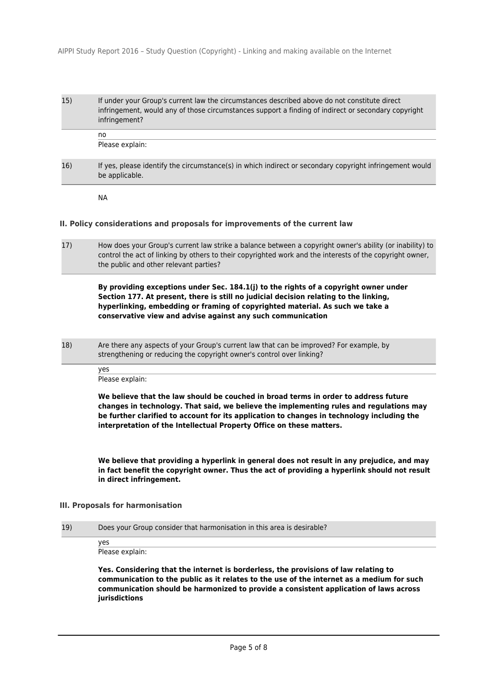# 15) If under your Group's current law the circumstances described above do not constitute direct infringement, would any of those circumstances support a finding of indirect or secondary copyright infringement?

Please explain:

16) If yes, please identify the circumstance(s) in which indirect or secondary copyright infringement would be applicable.

NA

no

### **II. Policy considerations and proposals for improvements of the current law**

17) How does your Group's current law strike a balance between a copyright owner's ability (or inability) to control the act of linking by others to their copyrighted work and the interests of the copyright owner, the public and other relevant parties?

**By providing exceptions under Sec. 184.1(j) to the rights of a copyright owner under Section 177. At present, there is still no judicial decision relating to the linking, hyperlinking, embedding or framing of copyrighted material. As such we take a conservative view and advise against any such communication**

18) Are there any aspects of your Group's current law that can be improved? For example, by strengthening or reducing the copyright owner's control over linking?

Please explain:

yes

**We believe that the law should be couched in broad terms in order to address future changes in technology. That said, we believe the implementing rules and regulations may be further clarified to account for its application to changes in technology including the interpretation of the Intellectual Property Office on these matters.**

**We believe that providing a hyperlink in general does not result in any prejudice, and may in fact benefit the copyright owner. Thus the act of providing a hyperlink should not result in direct infringement.**

## **III. Proposals for harmonisation**

19) Does your Group consider that harmonisation in this area is desirable?

yes Please explain:

**Yes. Considering that the internet is borderless, the provisions of law relating to communication to the public as it relates to the use of the internet as a medium for such communication should be harmonized to provide a consistent application of laws across jurisdictions**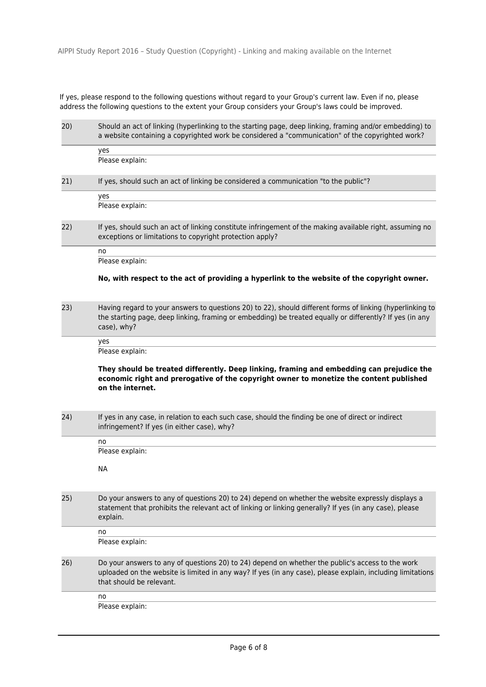If yes, please respond to the following questions without regard to your Group's current law. Even if no, please address the following questions to the extent your Group considers your Group's laws could be improved.

| 20) | Should an act of linking (hyperlinking to the starting page, deep linking, framing and/or embedding) to<br>a website containing a copyrighted work be considered a "communication" of the copyrighted work?                                |  |
|-----|--------------------------------------------------------------------------------------------------------------------------------------------------------------------------------------------------------------------------------------------|--|
|     | yes                                                                                                                                                                                                                                        |  |
|     | Please explain:                                                                                                                                                                                                                            |  |
| 21) | If yes, should such an act of linking be considered a communication "to the public"?                                                                                                                                                       |  |
|     | yes                                                                                                                                                                                                                                        |  |
|     | Please explain:                                                                                                                                                                                                                            |  |
| 22) | If yes, should such an act of linking constitute infringement of the making available right, assuming no<br>exceptions or limitations to copyright protection apply?                                                                       |  |
|     | no                                                                                                                                                                                                                                         |  |
|     | Please explain:                                                                                                                                                                                                                            |  |
|     | No, with respect to the act of providing a hyperlink to the website of the copyright owner.                                                                                                                                                |  |
| 23) | Having regard to your answers to questions 20) to 22), should different forms of linking (hyperlinking to<br>the starting page, deep linking, framing or embedding) be treated equally or differently? If yes (in any<br>case), why?       |  |
|     | yes                                                                                                                                                                                                                                        |  |
|     | Please explain:                                                                                                                                                                                                                            |  |
|     | They should be treated differently. Deep linking, framing and embedding can prejudice the<br>economic right and prerogative of the copyright owner to monetize the content published<br>on the internet.                                   |  |
| 24) | If yes in any case, in relation to each such case, should the finding be one of direct or indirect<br>infringement? If yes (in either case), why?                                                                                          |  |
|     | no                                                                                                                                                                                                                                         |  |
|     | Please explain:                                                                                                                                                                                                                            |  |
|     | <b>NA</b>                                                                                                                                                                                                                                  |  |
| 25) | Do your answers to any of questions 20) to 24) depend on whether the website expressly displays a<br>statement that prohibits the relevant act of linking or linking generally? If yes (in any case), please<br>explain.                   |  |
|     | no                                                                                                                                                                                                                                         |  |
|     | Please explain:                                                                                                                                                                                                                            |  |
| 26) | Do your answers to any of questions 20) to 24) depend on whether the public's access to the work<br>uploaded on the website is limited in any way? If yes (in any case), please explain, including limitations<br>that should be relevant. |  |
|     | no                                                                                                                                                                                                                                         |  |
|     | Please explain:                                                                                                                                                                                                                            |  |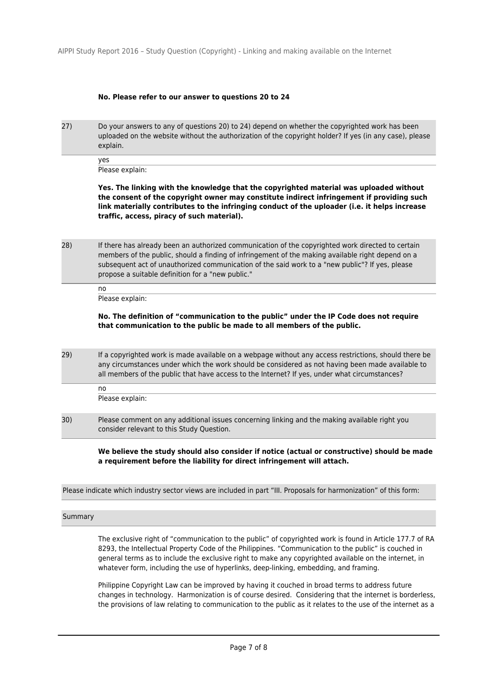## **No. Please refer to our answer to questions 20 to 24**

27) Do your answers to any of questions 20) to 24) depend on whether the copyrighted work has been uploaded on the website without the authorization of the copyright holder? If yes (in any case), please explain.

yes Please explain:

**Yes. The linking with the knowledge that the copyrighted material was uploaded without the consent of the copyright owner may constitute indirect infringement if providing such link materially contributes to the infringing conduct of the uploader (i.e. it helps increase traffic, access, piracy of such material).** 

28) If there has already been an authorized communication of the copyrighted work directed to certain members of the public, should a finding of infringement of the making available right depend on a subsequent act of unauthorized communication of the said work to a "new public"? If yes, please propose a suitable definition for a "new public."

> no Please explain:

# **No. The definition of "communication to the public" under the IP Code does not require that communication to the public be made to all members of the public.**

29) If a copyrighted work is made available on a webpage without any access restrictions, should there be any circumstances under which the work should be considered as not having been made available to all members of the public that have access to the Internet? If yes, under what circumstances?

Please explain:

no

30) Please comment on any additional issues concerning linking and the making available right you consider relevant to this Study Question.

> **We believe the study should also consider if notice (actual or constructive) should be made a requirement before the liability for direct infringement will attach.**

Please indicate which industry sector views are included in part "III. Proposals for harmonization" of this form:

### Summary

The exclusive right of "communication to the public" of copyrighted work is found in Article 177.7 of RA 8293, the Intellectual Property Code of the Philippines. "Communication to the public" is couched in general terms as to include the exclusive right to make any copyrighted available on the internet, in whatever form, including the use of hyperlinks, deep-linking, embedding, and framing.

Philippine Copyright Law can be improved by having it couched in broad terms to address future changes in technology. Harmonization is of course desired. Considering that the internet is borderless, the provisions of law relating to communication to the public as it relates to the use of the internet as a